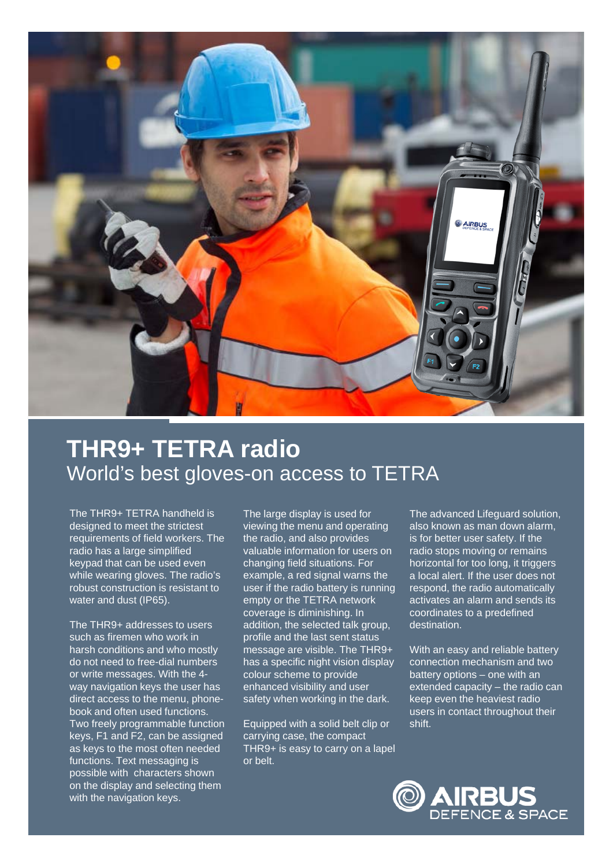

## **THR9+ TETRA radio** World's best gloves-on access to TETRA

The THR9+ TETRA handheld is designed to meet the strictest requirements of field workers. The radio has a large simplified keypad that can be used even while wearing gloves. The radio's robust construction is resistant to water and dust (IP65).

The THR9+ addresses to users such as firemen who work in harsh conditions and who mostly do not need to free-dial numbers or write messages. With the 4 way navigation keys the user has direct access to the menu, phonebook and often used functions. Two freely programmable function keys, F1 and F2, can be assigned as keys to the most often needed functions. Text messaging is possible with characters shown on the display and selecting them with the navigation keys.

The large display is used for viewing the menu and operating the radio, and also provides valuable information for users on changing field situations. For example, a red signal warns the user if the radio battery is running empty or the TETRA network coverage is diminishing. In addition, the selected talk group, profile and the last sent status message are visible. The THR9+ has a specific night vision display colour scheme to provide enhanced visibility and user safety when working in the dark.

Equipped with a solid belt clip or carrying case, the compact THR9+ is easy to carry on a lapel or belt.

The advanced Lifeguard solution, also known as man down alarm, is for better user safety. If the radio stops moving or remains horizontal for too long, it triggers a local alert. If the user does not respond, the radio automatically activates an alarm and sends its coordinates to a predefined destination.

With an easy and reliable battery connection mechanism and two battery options – one with an extended capacity – the radio can keep even the heaviest radio users in contact throughout their shift.